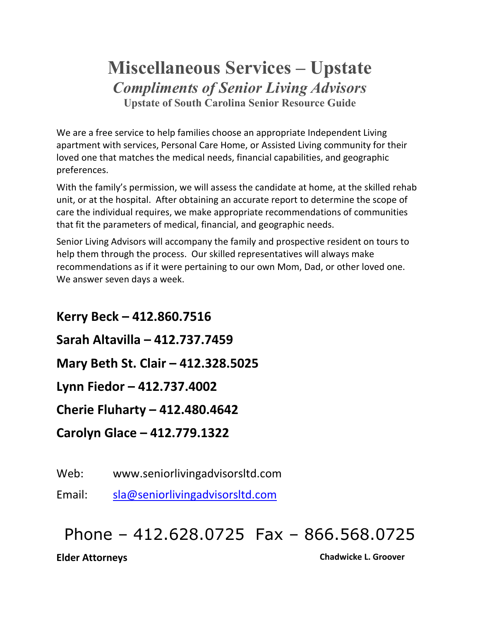## **Miscellaneous Services – Upstate** *Compliments of Senior Living Advisors* **Upstate of South Carolina Senior Resource Guide**

We are a free service to help families choose an appropriate Independent Living apartment with services, Personal Care Home, or Assisted Living community for their loved one that matches the medical needs, financial capabilities, and geographic preferences.

With the family's permission, we will assess the candidate at home, at the skilled rehab unit, or at the hospital. After obtaining an accurate report to determine the scope of care the individual requires, we make appropriate recommendations of communities that fit the parameters of medical, financial, and geographic needs.

Senior Living Advisors will accompany the family and prospective resident on tours to help them through the process. Our skilled representatives will always make recommendations as if it were pertaining to our own Mom, Dad, or other loved one. We answer seven days a week.

**Kerry Beck – 412.860.7516 Sarah Altavilla – 412.737.7459 Mary Beth St. Clair – 412.328.5025 Lynn Fiedor – 412.737.4002 Cherie Fluharty – 412.480.4642 Carolyn Glace – 412.779.1322**

Web: www.seniorlivingadvisorsltd.com

Email: [sla@seniorlivingadvisorsltd.com](mailto:sla@seniorlivingadvisorsltd.com)

# Phone – 412.628.0725 Fax – 866.568.0725

**Elder Attorneys Chadwicke L. Groover**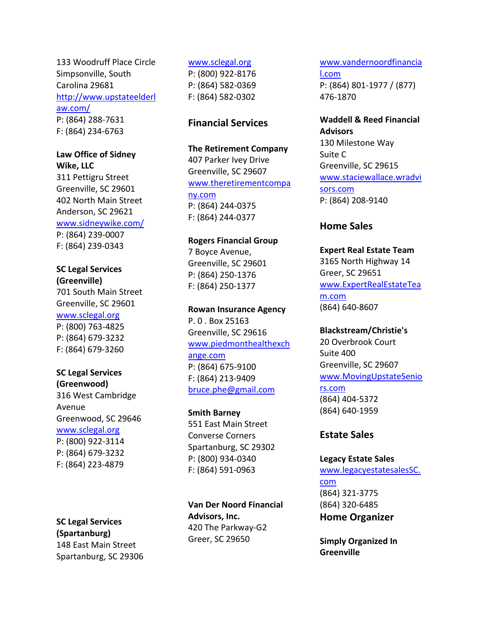133 Woodruff Place Circle Simpsonville, South Carolina 29681 [http://www.upstateelderl](http://www.upstateelderlaw.com/) [aw.com/](http://www.upstateelderlaw.com/) P: (864) 288-7631 F: (864) 234-6763

**Law Office of Sidney Wike, LLC**

311 Pettigru Street Greenville, SC 29601 402 North Main Street Anderson, SC 29621 [www.sidneywike.com/](http://www.sidneywike.com/) P: (864) 239-0007 F: (864) 239-0343

#### **SC Legal Services (Greenville)**

701 South Main Street Greenville, SC 29601 [www.sclegal.org](http://www.sclegal.org/) P: (800) 763-4825 P: (864) 679-3232 F: (864) 679-3260

#### **SC Legal Services (Greenwood)**

316 West Cambridge Avenue Greenwood, SC 29646 [www.sclegal.org](http://www.sclegal.org/) P: (800) 922-3114 P: (864) 679-3232 F: (864) 223-4879

**SC Legal Services (Spartanburg)** 148 East Main Street Spartanburg, SC 29306

#### [www.sclegal.org](http://www.sclegal.org/)

P: (800) 922-8176 P: (864) 582-0369 F: (864) 582-0302

#### **Financial Services**

**The Retirement Company** 407 Parker Ivey Drive Greenville, SC 29607 [www.theretirementcompa](http://www.theretirementcompany.com/) [ny.com](http://www.theretirementcompany.com/) P: (864) 244-0375 F: (864) 244-0377

#### **Rogers Financial Group**

7 Boyce Avenue, Greenville, SC 29601 P: (864) 250-1376 F: (864) 250-1377

#### **Rowan Insurance Agency**

P. 0 . Box 25163 Greenville, SC 29616 [www.piedmonthealthexch](http://www.piedmonthealthexchange.com/) [ange.com](http://www.piedmonthealthexchange.com/) P: (864) 675-9100 F: (864) 213-9409 [bruce.phe@gmail.com](mailto:bruce.phe@gmail.com)

#### **Smith Barney**

551 East Main Street Converse Corners Spartanburg, SC 29302 P: (800) 934-0340 F: (864) 591-0963

**Van Der Noord Financial Advisors, Inc.** 420 The Parkway-G2 Greer, SC 29650

#### [www.vandernoordfinancia](http://www.vandernoordfinancial.com/) [l.com](http://www.vandernoordfinancial.com/) P: (864) 801-1977 / (877) 476-1870

**Waddell & Reed Financial Advisors** 130 Milestone Way Suite C Greenville, SC 29615 [www.staciewallace.wradvi](http://www.staciewallace.wradvisors.com/) [sors.com](http://www.staciewallace.wradvisors.com/) P: (864) 208-9140

#### **Home Sales**

**Expert Real Estate Team** 3165 North Highway 14 Greer, SC 29651 [www.ExpertRealEstateTea](http://www.expertrealestateteam.com/) [m.com](http://www.expertrealestateteam.com/) (864) 640-8607

### **Blackstream/Christie's** 20 Overbrook Court

Suite 400 Greenville, SC 29607 [www.MovingUpstateSenio](http://www.movingupstateseniors.com/) [rs.com](http://www.movingupstateseniors.com/) (864) 404-5372 (864) 640-1959

#### **Estate Sales**

#### **Legacy Estate Sales**

[www.legacyestatesalesSC.](http://www.legacyestatesalessc.com/) [com](http://www.legacyestatesalessc.com/) (864) 321-3775 (864) 320-6485 **Home Organizer**

**Simply Organized In Greenville**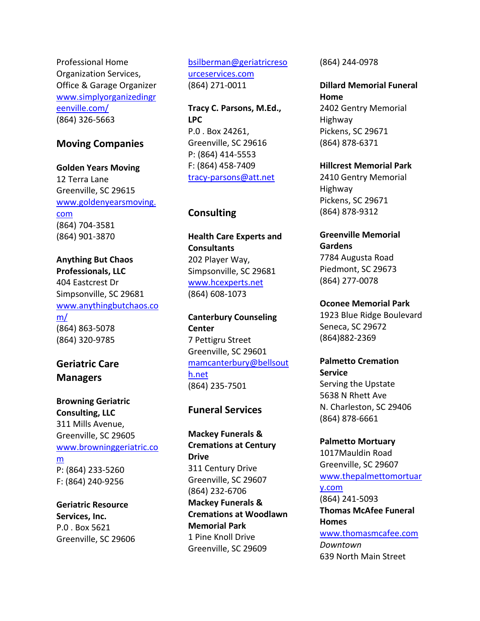Professional Home Organization Services, Office & Garage Organizer [www.simplyorganizedingr](http://www.simplyorganizedingreenville.com/) [eenville.com/](http://www.simplyorganizedingreenville.com/) (864) 326-5663

#### **Moving Companies**

**Golden Years Moving** 12 Terra Lane Greenville, SC 29615 [www.goldenyearsmoving.](http://www.goldenyearsmoving.com/) [com](http://www.goldenyearsmoving.com/) (864) 704-3581 (864) 901-3870

**Anything But Chaos Professionals, LLC** 404 Eastcrest Dr Simpsonville, SC 29681 [www.anythingbutchaos.co](http://www.anythingbutchaos.com/) [m/](http://www.anythingbutchaos.com/) (864) 863-5078 (864) 320-9785

#### **Geriatric Care Managers**

**Browning Geriatric Consulting, LLC** 311 Mills Avenue, Greenville, SC 29605 [www.browninggeriatric.co](http://www.browninggeriatric.com/) [m](http://www.browninggeriatric.com/) P: (864) 233-5260 F: (864) 240-9256

**Geriatric Resource Services, Inc.** P.0 . Box 5621 Greenville, SC 29606 [bsilberman@geriatricreso](mailto:bsilberman@geriatricresourceservices.com) [urceservices.com](mailto:bsilberman@geriatricresourceservices.com) (864) 271-0011

**Tracy C. Parsons, M.Ed., LPC** P.0 . Box 24261, Greenville, SC 29616 P: (864) 414-5553 F: (864) 458-7409 [tracy-parsons@att.net](mailto:tracy-parsons@att.net)

#### **Consulting**

**Health Care Experts and Consultants** 202 Player Way, Simpsonville, SC 29681 [www.hcexperts.net](http://www.hcexperts.net/) (864) 608-1073

**Canterbury Counseling Center** 7 Pettigru Street Greenville, SC 29601 [mamcanterbury@bellsout](mailto:mamcanterbury@bellsouth.net) [h.net](mailto:mamcanterbury@bellsouth.net) (864) 235-7501

#### **Funeral Services**

**Mackey Funerals & Cremations at Century Drive** 311 Century Drive Greenville, SC 29607 (864) 232-6706 **Mackey Funerals & Cremations at Woodlawn Memorial Park** 1 Pine Knoll Drive Greenville, SC 29609

(864) 244-0978

**Dillard Memorial Funeral Home** 2402 Gentry Memorial Highway Pickens, SC 29671 (864) 878-6371

**Hillcrest Memorial Park** 2410 Gentry Memorial Highway Pickens, SC 29671 (864) 878-9312

**Greenville Memorial Gardens** 7784 Augusta Road Piedmont, SC 29673 (864) 277-0078

**Oconee Memorial Park** 1923 Blue Ridge Boulevard Seneca, SC 29672 (864)882-2369

**Palmetto Cremation Service** Serving the Upstate 5638 N Rhett Ave N. Charleston, SC 29406 (864) 878-6661

**Palmetto Mortuary** 1017Mauldin Road Greenville, SC 29607 [www.thepalmettomortuar](http://www.thepalmettomortuary.com/) [y.com](http://www.thepalmettomortuary.com/)  (864) 241-5093 **Thomas McAfee Funeral Homes** [www.thomasmcafee.com](http://www.thomasmcafee.com/) *Downtown* 639 North Main Street